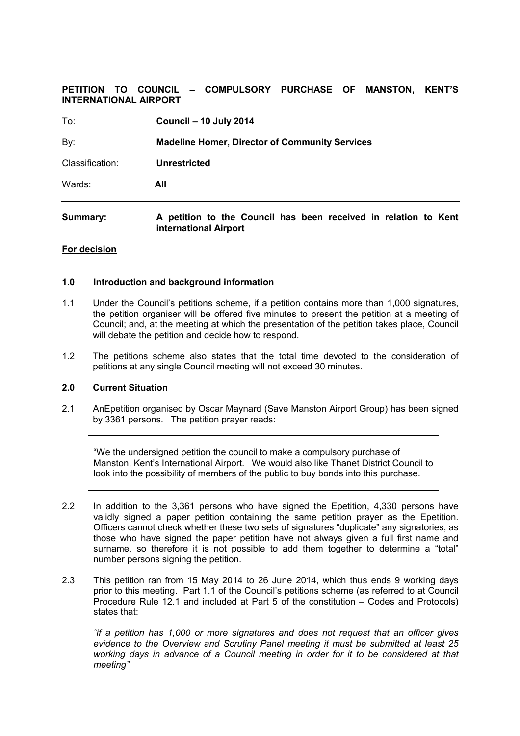# **PETITION TO COUNCIL – COMPULSORY PURCHASE OF MANSTON, KENT'S INTERNATIONAL AIRPORT**

| To:             | <b>Council - 10 July 2014</b>                         |
|-----------------|-------------------------------------------------------|
| By:             | <b>Madeline Homer, Director of Community Services</b> |
| Classification: | <b>Unrestricted</b>                                   |
| Wards:          | All                                                   |
|                 |                                                       |

**Summary: A petition to the Council has been received in relation to Kent international Airport** 

#### **For decision**

#### **1.0 Introduction and background information**

- 1.1 Under the Council's petitions scheme, if a petition contains more than 1,000 signatures, the petition organiser will be offered five minutes to present the petition at a meeting of Council; and, at the meeting at which the presentation of the petition takes place, Council will debate the petition and decide how to respond.
- 1.2 The petitions scheme also states that the total time devoted to the consideration of petitions at any single Council meeting will not exceed 30 minutes.

### **2.0 Current Situation**

2.1 AnEpetition organised by Oscar Maynard (Save Manston Airport Group) has been signed by 3361 persons. The petition prayer reads:

 "We the undersigned petition the council to make a compulsory purchase of Manston, Kent's International Airport. We would also like Thanet District Council to look into the possibility of members of the public to buy bonds into this purchase.

- 2.2 In addition to the 3,361 persons who have signed the Epetition, 4,330 persons have validly signed a paper petition containing the same petition prayer as the Epetition. Officers cannot check whether these two sets of signatures "duplicate" any signatories, as those who have signed the paper petition have not always given a full first name and surname, so therefore it is not possible to add them together to determine a "total" number persons signing the petition.
- 2.3 This petition ran from 15 May 2014 to 26 June 2014, which thus ends 9 working days prior to this meeting. Part 1.1 of the Council's petitions scheme (as referred to at Council Procedure Rule 12.1 and included at Part 5 of the constitution – Codes and Protocols) states that:

*"if a petition has 1,000 or more signatures and does not request that an officer gives evidence to the Overview and Scrutiny Panel meeting it must be submitted at least 25 working days in advance of a Council meeting in order for it to be considered at that meeting"*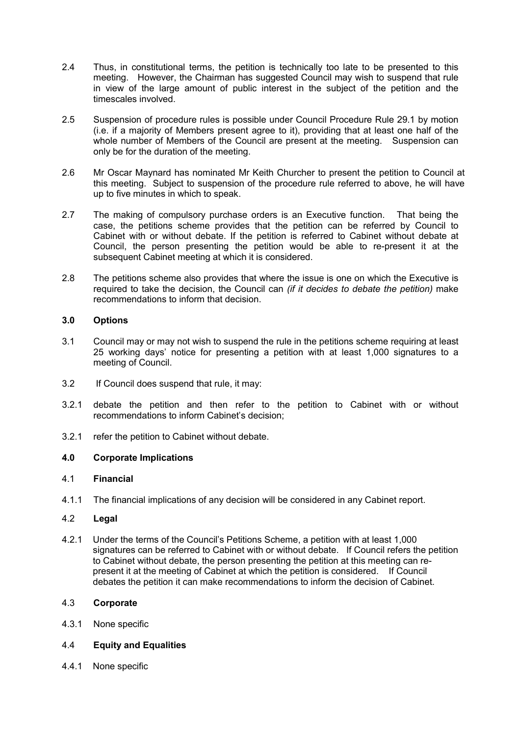- 2.4 Thus, in constitutional terms, the petition is technically too late to be presented to this meeting. However, the Chairman has suggested Council may wish to suspend that rule in view of the large amount of public interest in the subject of the petition and the timescales involved.
- 2.5 Suspension of procedure rules is possible under Council Procedure Rule 29.1 by motion (i.e. if a majority of Members present agree to it), providing that at least one half of the whole number of Members of the Council are present at the meeting. Suspension can only be for the duration of the meeting.
- 2.6 Mr Oscar Maynard has nominated Mr Keith Churcher to present the petition to Council at this meeting. Subject to suspension of the procedure rule referred to above, he will have up to five minutes in which to speak.
- 2.7 The making of compulsory purchase orders is an Executive function. That being the case, the petitions scheme provides that the petition can be referred by Council to Cabinet with or without debate. If the petition is referred to Cabinet without debate at Council, the person presenting the petition would be able to re-present it at the subsequent Cabinet meeting at which it is considered.
- 2.8 The petitions scheme also provides that where the issue is one on which the Executive is required to take the decision, the Council can *(if it decides to debate the petition)* make recommendations to inform that decision.

# **3.0 Options**

- 3.1 Council may or may not wish to suspend the rule in the petitions scheme requiring at least 25 working days' notice for presenting a petition with at least 1,000 signatures to a meeting of Council.
- 3.2 If Council does suspend that rule, it may:
- 3.2.1 debate the petition and then refer to the petition to Cabinet with or without recommendations to inform Cabinet's decision;
- 3.2.1 refer the petition to Cabinet without debate.

# **4.0 Corporate Implications**

### 4.1 **Financial**

4.1.1 The financial implications of any decision will be considered in any Cabinet report.

### 4.2 **Legal**

4.2.1 Under the terms of the Council's Petitions Scheme, a petition with at least 1,000 signatures can be referred to Cabinet with or without debate. If Council refers the petition to Cabinet without debate, the person presenting the petition at this meeting can represent it at the meeting of Cabinet at which the petition is considered. If Council debates the petition it can make recommendations to inform the decision of Cabinet.

### 4.3 **Corporate**

4.3.1 None specific

### 4.4 **Equity and Equalities**

4.4.1 None specific